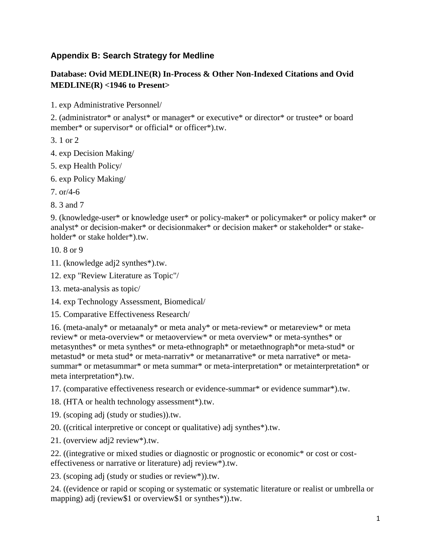## **Appendix B: Search Strategy for Medline**

## **Database: Ovid MEDLINE(R) In-Process & Other Non-Indexed Citations and Ovid MEDLINE(R) <1946 to Present>**

1. exp Administrative Personnel/

2. (administrator\* or analyst\* or manager\* or executive\* or director\* or trustee\* or board member\* or supervisor\* or official\* or officer\*).tw.

3. 1 or 2

- 4. exp Decision Making/
- 5. exp Health Policy/
- 6. exp Policy Making/
- 7.  $or/4-6$
- 8. 3 and 7

9. (knowledge-user\* or knowledge user\* or policy-maker\* or policymaker\* or policy maker\* or analyst\* or decision-maker\* or decisionmaker\* or decision maker\* or stakeholder\* or stakeholder\* or stake holder\*).tw.

10. 8 or 9

- 11. (knowledge adj2 synthes\*).tw.
- 12. exp "Review Literature as Topic"/
- 13. meta-analysis as topic/
- 14. exp Technology Assessment, Biomedical/
- 15. Comparative Effectiveness Research/

16. (meta-analy\* or metaanaly\* or meta analy\* or meta-review\* or metareview\* or meta review\* or meta-overview\* or metaoverview\* or meta overview\* or meta-synthes\* or metasynthes\* or meta synthes\* or meta-ethnograph\* or metaethnograph\*or meta-stud\* or metastud\* or meta stud\* or meta-narrativ\* or metanarrative\* or meta narrative\* or metasummar\* or metasummar\* or meta summar\* or meta-interpretation\* or metainterpretation\* or meta interpretation\*).tw.

17. (comparative effectiveness research or evidence-summar\* or evidence summar\*).tw.

18. (HTA or health technology assessment\*).tw.

19. (scoping adj (study or studies)).tw.

20. ((critical interpretive or concept or qualitative) adj synthes\*).tw.

21. (overview adj2 review\*).tw.

22. ((integrative or mixed studies or diagnostic or prognostic or economic\* or cost or costeffectiveness or narrative or literature) adj review\*).tw.

23. (scoping adj (study or studies or review\*)).tw.

24. ((evidence or rapid or scoping or systematic or systematic literature or realist or umbrella or mapping) adj (review\$1 or overview\$1 or synthes\*)).tw.